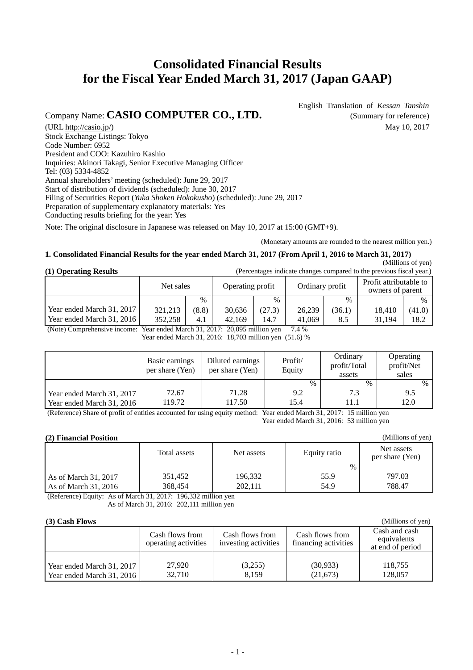# **Consolidated Financial Results for the Fiscal Year Ended March 31, 2017 (Japan GAAP)**

# Company Name: **CASIO COMPUTER CO., LTD.** (Summary for reference)

English Translation of *Kessan Tanshin*

(URL http://casio.jp/) May 10, 2017 Stock Exchange Listings: Tokyo Code Number: 6952 President and COO: Kazuhiro Kashio Inquiries: Akinori Takagi, Senior Executive Managing Officer Tel: (03) 5334-4852 Annual shareholders' meeting (scheduled): June 29, 2017 Start of distribution of dividends (scheduled): June 30, 2017 Filing of Securities Report (*Yuka Shoken Hokokusho*) (scheduled): June 29, 2017 Preparation of supplementary explanatory materials: Yes Conducting results briefing for the year: Yes

Note: The original disclosure in Japanese was released on May 10, 2017 at 15:00 (GMT+9).

(Monetary amounts are rounded to the nearest million yen.)

**(1) Operating Results** (Percentages indicate changes compared to the previous fiscal year.)

#### **1. Consolidated Financial Results for the year ended March 31, 2017 (From April 1, 2016 to March 31, 2017)**

# $\overline{P}$  (Millions of yen)

| (1) Operating Results<br>(Felcentages indicate changes compared to the previous fiscal year.) |           |               |                  |        |        |        |                 |        |  |                                            |  |
|-----------------------------------------------------------------------------------------------|-----------|---------------|------------------|--------|--------|--------|-----------------|--------|--|--------------------------------------------|--|
|                                                                                               | Net sales |               | Operating profit |        |        |        | Ordinary profit |        |  | Profit attributable to<br>owners of parent |  |
|                                                                                               |           | $\frac{0}{0}$ |                  | $\%$   |        | $\%$   |                 | $\%$   |  |                                            |  |
| Year ended March 31, 2017                                                                     | 321.213   | (8.8)         | 30.636           | (27.3) | 26.239 | (36.1) | 18.410          | (41.0) |  |                                            |  |
| Year ended March 31, 2016                                                                     | 352,258   | 4.1           | 42.169           | 14.7   | 41,069 | 8.5    | 31.194          | 18.2   |  |                                            |  |

(Note) Comprehensive income: Year ended March 31, 2017: 20,095 million yen 7.4 %

Year ended March 31, 2016: 18,703 million yen (51.6) %

|                           | Basic earnings<br>per share (Yen) | Diluted earnings<br>per share (Yen) | Profit/<br>Equity | Ordinary<br>profit/Total<br>assets | Operating<br>profit/Net<br>sales |
|---------------------------|-----------------------------------|-------------------------------------|-------------------|------------------------------------|----------------------------------|
|                           |                                   |                                     | $\frac{0}{0}$     | $\%$                               | $\%$                             |
| Year ended March 31, 2017 | 72.67                             | 71.28                               | 9.2               | 7.3                                | 9.5                              |
| Year ended March 31, 2016 | 119.72                            | 117.50                              | 15.4              | 11.1                               | 12.0                             |

(Reference) Share of profit of entities accounted for using equity method: Year ended March 31, 2017: 15 million yen Year ended March 31, 2016: 53 million yen

#### **(2) Financial Position**

|                        | Total assets | Net assets | Equity ratio | Net assets<br>per share (Yen) |
|------------------------|--------------|------------|--------------|-------------------------------|
|                        |              |            | $\%$         |                               |
| As of March 31, 2017   | 351.452      | 196,332    | 55.9         | 797.03                        |
| As of March $31, 2016$ | 368.454      | 202.111    | 54.9         | 788.47                        |

(Reference) Equity: As of March 31, 2017: 196,332 million yen

As of March 31, 2016: 202,111 million yen

#### **(3) Cash Flows**

| $(3)$ Cash Flows          | (Millions of yen)                       |                                         |                                         |                                                  |
|---------------------------|-----------------------------------------|-----------------------------------------|-----------------------------------------|--------------------------------------------------|
|                           | Cash flows from<br>operating activities | Cash flows from<br>investing activities | Cash flows from<br>financing activities | Cash and cash<br>equivalents<br>at end of period |
|                           |                                         |                                         |                                         |                                                  |
| Year ended March 31, 2017 | 27.920                                  | (3,255)                                 | (30,933)                                | 118,755                                          |
| Year ended March 31, 2016 | 32.710                                  | 8.159                                   | (21, 673)                               | 128,057                                          |

(Millions of yen)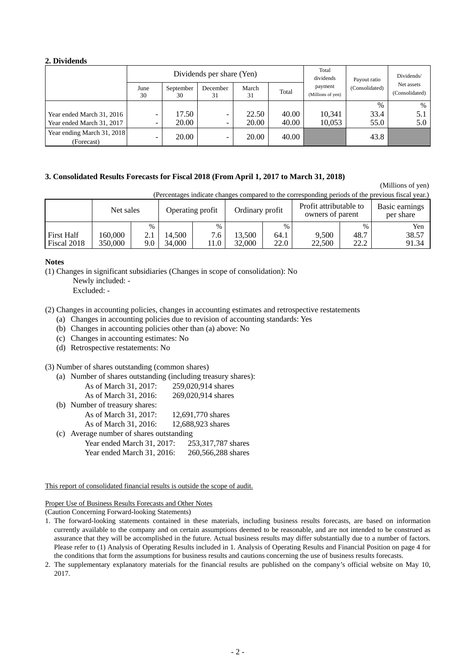#### **2. Dividends**

|                                          |            |                 | Dividends per share (Yen) |             |       | Total<br>dividends           | Payout ratio   | Dividends/                   |
|------------------------------------------|------------|-----------------|---------------------------|-------------|-------|------------------------------|----------------|------------------------------|
|                                          | June<br>30 | September<br>30 | December<br>31            | March<br>31 | Total | payment<br>(Millions of yen) | (Consolidated) | Net assets<br>(Consolidated) |
|                                          |            |                 |                           |             |       |                              | $\%$           | $\%$                         |
| Year ended March 31, 2016                | -          | 17.50           | -                         | 22.50       | 40.00 | 10.341                       | 33.4           | 5.1                          |
| Year ended March 31, 2017                | -          | 20.00           | -                         | 20.00       | 40.00 | 10,053                       | 55.0           | 5.0                          |
| Year ending March 31, 2018<br>(Forecast) | -          | 20.00           | -                         | 20.00       | 40.00 |                              | 43.8           |                              |

#### **3. Consolidated Results Forecasts for Fiscal 2018 (From April 1, 2017 to March 31, 2018)**

(Millions of yen)

(Percentages indicate changes compared to the corresponding periods of the previous fiscal year.)

|                   | Net sales |      |        | Operating profit | Ordinary profit |      | Profit attributable to<br>owners of parent |      | Basic earnings<br>per share |
|-------------------|-----------|------|--------|------------------|-----------------|------|--------------------------------------------|------|-----------------------------|
|                   |           | $\%$ |        | $\frac{0}{0}$    |                 | $\%$ |                                            | $\%$ | Yen                         |
| <b>First Half</b> | 160.000   |      | 14.500 | 7.6              | 13.500          | 64.1 | 9,500                                      | 48.7 | 38.57                       |
| Fiscal 2018       | 350.000   | 9.0  | 34,000 | 11.0             | 32,000          | 22.0 | 22,500                                     | 22.2 | 91.34                       |

#### **Notes**

(1) Changes in significant subsidiaries (Changes in scope of consolidation): No

Newly included: -

Excluded: -

- (2) Changes in accounting policies, changes in accounting estimates and retrospective restatements
	- (a) Changes in accounting policies due to revision of accounting standards: Yes
	- (b) Changes in accounting policies other than (a) above: No
	- (c) Changes in accounting estimates: No
	- (d) Retrospective restatements: No

#### (3) Number of shares outstanding (common shares)

- (a) Number of shares outstanding (including treasury shares): As of March 31, 2017: 259,020,914 shares As of March 31, 2016: 269,020,914 shares (b) Number of treasury shares:
- As of March 31, 2017: 12,691,770 shares As of March 31, 2016: 12,688,923 shares (c) Average number of shares outstanding
- Year ended March 31, 2017: 253,317,787 shares Year ended March 31, 2016: 260, 566, 288 shares

#### This report of consolidated financial results is outside the scope of audit.

#### Proper Use of Business Results Forecasts and Other Notes

(Caution Concerning Forward-looking Statements)

- 1. The forward-looking statements contained in these materials, including business results forecasts, are based on information currently available to the company and on certain assumptions deemed to be reasonable, and are not intended to be construed as assurance that they will be accomplished in the future. Actual business results may differ substantially due to a number of factors. Please refer to (1) Analysis of Operating Results included in 1. Analysis of Operating Results and Financial Position on page 4 for the conditions that form the assumptions for business results and cautions concerning the use of business results forecasts.
- 2. The supplementary explanatory materials for the financial results are published on the company's official website on May 10, 2017.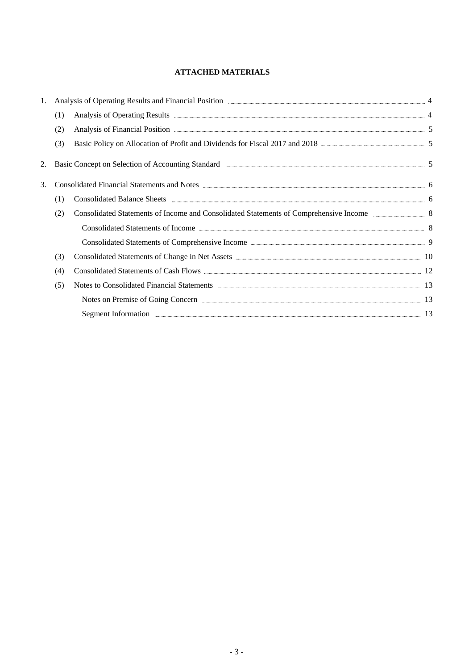### **ATTACHED MATERIALS**

| 1. |     | Analysis of Operating Results and Financial Position <b>Election Container and Election</b> 4                                                                                                                                      |  |
|----|-----|------------------------------------------------------------------------------------------------------------------------------------------------------------------------------------------------------------------------------------|--|
|    | (1) |                                                                                                                                                                                                                                    |  |
|    | (2) | Analysis of Financial Position <b>Exercífical</b> State of European State of European State of European State of State of State of State of State of State of State of State of State of State of State of State of State of State |  |
|    | (3) | Basic Policy on Allocation of Profit and Dividends for Fiscal 2017 and 2018 <b>Example 2018</b> 5                                                                                                                                  |  |
| 2. |     | Basic Concept on Selection of Accounting Standard (2008) 2008 2012 12:00 12:00 12:00 12:00 12:00 12:00 12:00 13:00 13:00 13:00 13:00 13:00 14:00 14:00 14:00 14:00 14:00 14:00 14:00 14:00 14:00 14:00 14:00 14:00 14:00 14:00     |  |
| 3. |     | Consolidated Financial Statements and Notes <b>manufacture of the Consolidated Financial Statements and Notes</b> 6                                                                                                                |  |
|    | (1) |                                                                                                                                                                                                                                    |  |
|    | (2) | Consolidated Statements of Income and Consolidated Statements of Comprehensive Income 388 88                                                                                                                                       |  |
|    |     | Consolidated Statements of Income <b>Exercise Statements</b> 8                                                                                                                                                                     |  |
|    |     | Consolidated Statements of Comprehensive Income <b>Example 2018</b> 19 9                                                                                                                                                           |  |
|    | (3) |                                                                                                                                                                                                                                    |  |
|    | (4) |                                                                                                                                                                                                                                    |  |
|    | (5) | Notes to Consolidated Financial Statements <b>Exercise 2nd August</b> 2014 13                                                                                                                                                      |  |
|    |     |                                                                                                                                                                                                                                    |  |
|    |     | Segment Information 2018 and 2018 and 2018 and 2018 and 2018 and 2018 and 2018 and 2018 and 2018 and 2018 and 2018 and 2018 and 2018 and 2018 and 2018 and 2018 and 2018 and 2018 and 2018 and 2018 and 2018 and 2018 and 2018     |  |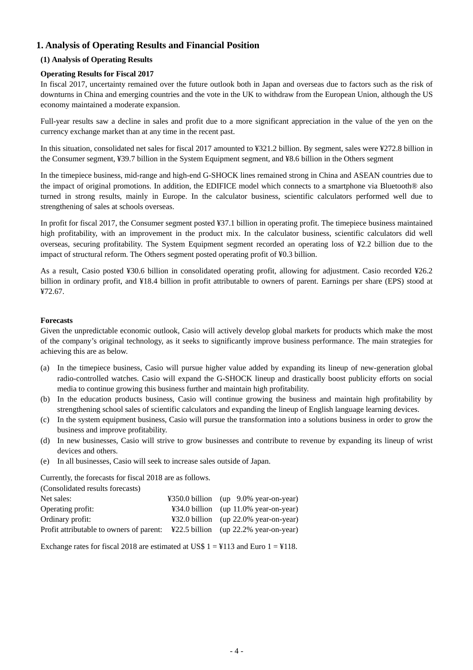### **1. Analysis of Operating Results and Financial Position**

### **(1) Analysis of Operating Results**

### **Operating Results for Fiscal 2017**

In fiscal 2017, uncertainty remained over the future outlook both in Japan and overseas due to factors such as the risk of downturns in China and emerging countries and the vote in the UK to withdraw from the European Union, although the US economy maintained a moderate expansion.

Full-year results saw a decline in sales and profit due to a more significant appreciation in the value of the yen on the currency exchange market than at any time in the recent past.

In this situation, consolidated net sales for fiscal 2017 amounted to ¥321.2 billion. By segment, sales were ¥272.8 billion in the Consumer segment, ¥39.7 billion in the System Equipment segment, and ¥8.6 billion in the Others segment

In the timepiece business, mid-range and high-end G-SHOCK lines remained strong in China and ASEAN countries due to the impact of original promotions. In addition, the EDIFICE model which connects to a smartphone via Bluetooth® also turned in strong results, mainly in Europe. In the calculator business, scientific calculators performed well due to strengthening of sales at schools overseas.

In profit for fiscal 2017, the Consumer segment posted ¥37.1 billion in operating profit. The timepiece business maintained high profitability, with an improvement in the product mix. In the calculator business, scientific calculators did well overseas, securing profitability. The System Equipment segment recorded an operating loss of ¥2.2 billion due to the impact of structural reform. The Others segment posted operating profit of ¥0.3 billion.

As a result, Casio posted ¥30.6 billion in consolidated operating profit, allowing for adjustment. Casio recorded ¥26.2 billion in ordinary profit, and ¥18.4 billion in profit attributable to owners of parent. Earnings per share (EPS) stood at ¥72.67.

#### **Forecasts**

Given the unpredictable economic outlook, Casio will actively develop global markets for products which make the most of the company's original technology, as it seeks to significantly improve business performance. The main strategies for achieving this are as below.

- (a) In the timepiece business, Casio will pursue higher value added by expanding its lineup of new-generation global radio-controlled watches. Casio will expand the G-SHOCK lineup and drastically boost publicity efforts on social media to continue growing this business further and maintain high profitability.
- (b) In the education products business, Casio will continue growing the business and maintain high profitability by strengthening school sales of scientific calculators and expanding the lineup of English language learning devices.
- (c) In the system equipment business, Casio will pursue the transformation into a solutions business in order to grow the business and improve profitability.
- (d) In new businesses, Casio will strive to grow businesses and contribute to revenue by expanding its lineup of wrist devices and others.
- (e) In all businesses, Casio will seek to increase sales outside of Japan.

Currently, the forecasts for fiscal 2018 are as follows.

 $(2)$   $(1)$   $(1)$   $(2)$   $(3)$ 

| (Consolidated results forecasts)                                                        |                                       |
|-----------------------------------------------------------------------------------------|---------------------------------------|
| Net sales:                                                                              | ¥350.0 billion (up 9.0% year-on-year) |
| Operating profit:                                                                       | ¥34.0 billion (up 11.0% year-on-year) |
| Ordinary profit:                                                                        | ¥32.0 billion (up 22.0% year-on-year) |
| Profit attributable to owners of parent: $\angle$ ¥22.5 billion (up 22.2% year-on-year) |                                       |

Exchange rates for fiscal 2018 are estimated at US\$  $1 = 4113$  and Euro  $1 = 4118$ .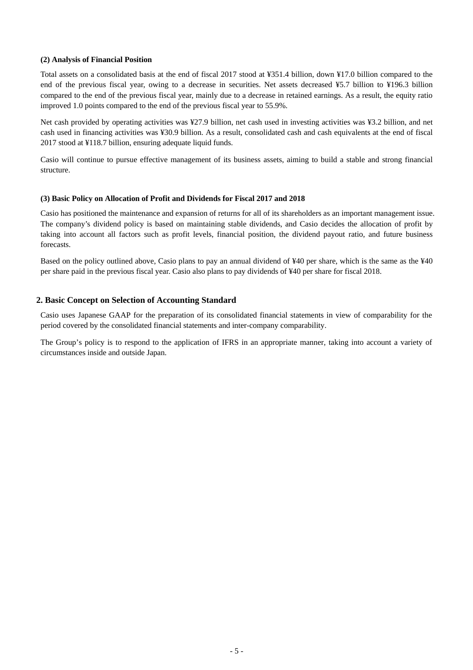#### **(2) Analysis of Financial Position**

Total assets on a consolidated basis at the end of fiscal 2017 stood at ¥351.4 billion, down ¥17.0 billion compared to the end of the previous fiscal year, owing to a decrease in securities. Net assets decreased ¥5.7 billion to ¥196.3 billion compared to the end of the previous fiscal year, mainly due to a decrease in retained earnings. As a result, the equity ratio improved 1.0 points compared to the end of the previous fiscal year to 55.9%.

Net cash provided by operating activities was ¥27.9 billion, net cash used in investing activities was ¥3.2 billion, and net cash used in financing activities was ¥30.9 billion. As a result, consolidated cash and cash equivalents at the end of fiscal 2017 stood at ¥118.7 billion, ensuring adequate liquid funds.

Casio will continue to pursue effective management of its business assets, aiming to build a stable and strong financial structure.

#### **(3) Basic Policy on Allocation of Profit and Dividends for Fiscal 2017 and 2018**

Casio has positioned the maintenance and expansion of returns for all of its shareholders as an important management issue. The company's dividend policy is based on maintaining stable dividends, and Casio decides the allocation of profit by taking into account all factors such as profit levels, financial position, the dividend payout ratio, and future business forecasts.

Based on the policy outlined above, Casio plans to pay an annual dividend of ¥40 per share, which is the same as the ¥40 per share paid in the previous fiscal year. Casio also plans to pay dividends of ¥40 per share for fiscal 2018.

#### **2. Basic Concept on Selection of Accounting Standard**

Casio uses Japanese GAAP for the preparation of its consolidated financial statements in view of comparability for the period covered by the consolidated financial statements and inter-company comparability.

The Group's policy is to respond to the application of IFRS in an appropriate manner, taking into account a variety of circumstances inside and outside Japan.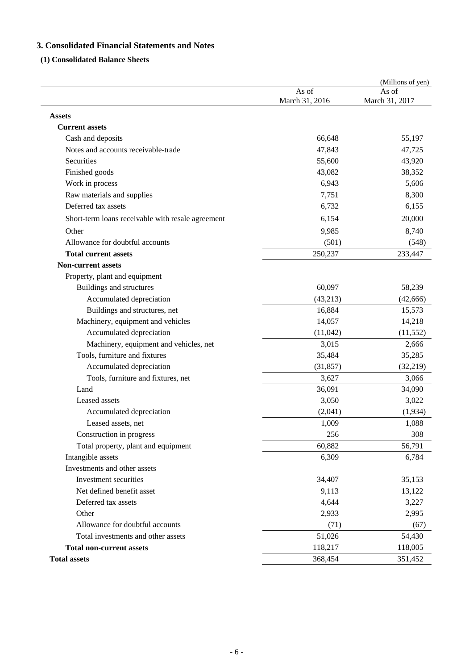### **3. Consolidated Financial Statements and Notes**

### **(1) Consolidated Balance Sheets**

|                                                   |                         | (Millions of yen)       |
|---------------------------------------------------|-------------------------|-------------------------|
|                                                   | As of<br>March 31, 2016 | As of<br>March 31, 2017 |
| <b>Assets</b>                                     |                         |                         |
| <b>Current assets</b>                             |                         |                         |
| Cash and deposits                                 | 66,648                  | 55,197                  |
| Notes and accounts receivable-trade               | 47,843                  | 47,725                  |
| Securities                                        | 55,600                  | 43,920                  |
| Finished goods                                    | 43,082                  | 38,352                  |
| Work in process                                   | 6,943                   | 5,606                   |
| Raw materials and supplies                        | 7,751                   | 8,300                   |
| Deferred tax assets                               | 6,732                   | 6,155                   |
| Short-term loans receivable with resale agreement | 6,154                   | 20,000                  |
| Other                                             | 9,985                   | 8,740                   |
| Allowance for doubtful accounts                   | (501)                   | (548)                   |
| <b>Total current assets</b>                       | 250,237                 | 233,447                 |
| <b>Non-current assets</b>                         |                         |                         |
| Property, plant and equipment                     |                         |                         |
| Buildings and structures                          | 60,097                  | 58,239                  |
| Accumulated depreciation                          | (43,213)                | (42, 666)               |
| Buildings and structures, net                     | 16,884                  | 15,573                  |
| Machinery, equipment and vehicles                 | 14,057                  | 14,218                  |
| Accumulated depreciation                          | (11,042)                | (11, 552)               |
| Machinery, equipment and vehicles, net            | 3,015                   | 2,666                   |
| Tools, furniture and fixtures                     | 35,484                  | 35,285                  |
| Accumulated depreciation                          | (31, 857)               | (32, 219)               |
| Tools, furniture and fixtures, net                | 3,627                   | 3,066                   |
| Land                                              | 36,091                  | 34,090                  |
| Leased assets                                     | 3,050                   | 3,022                   |
| Accumulated depreciation                          | (2,041)                 | (1,934)                 |
| Leased assets, net                                | 1,009                   | 1,088                   |
| Construction in progress                          | 256                     | 308                     |
| Total property, plant and equipment               | 60,882                  | 56,791                  |
| Intangible assets                                 | 6,309                   | 6,784                   |
| Investments and other assets                      |                         |                         |
| Investment securities                             | 34,407                  | 35,153                  |
| Net defined benefit asset                         | 9,113                   | 13,122                  |
| Deferred tax assets                               | 4,644                   | 3,227                   |
| Other                                             | 2,933                   | 2,995                   |
| Allowance for doubtful accounts                   | (71)                    | (67)                    |
| Total investments and other assets                | 51,026                  | 54,430                  |
| <b>Total non-current assets</b>                   | 118,217                 | 118,005                 |
| <b>Total assets</b>                               | 368,454                 | 351,452                 |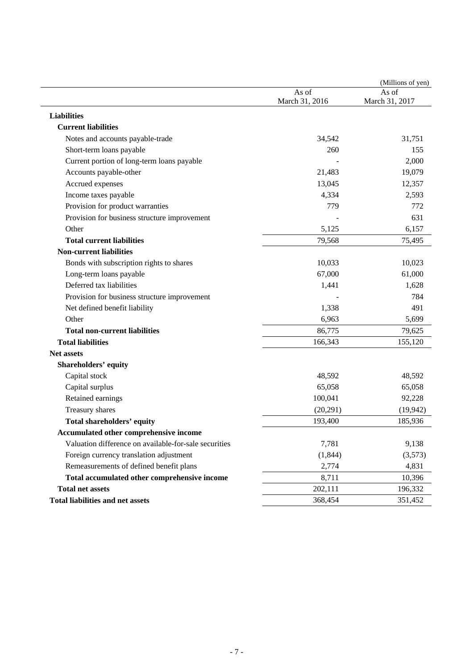|                                                       |                         | (Millions of yen)       |
|-------------------------------------------------------|-------------------------|-------------------------|
|                                                       | As of<br>March 31, 2016 | As of<br>March 31, 2017 |
| <b>Liabilities</b>                                    |                         |                         |
| <b>Current liabilities</b>                            |                         |                         |
| Notes and accounts payable-trade                      | 34,542                  | 31,751                  |
| Short-term loans payable                              | 260                     | 155                     |
| Current portion of long-term loans payable            |                         | 2,000                   |
| Accounts payable-other                                | 21,483                  | 19,079                  |
| Accrued expenses                                      | 13,045                  | 12,357                  |
| Income taxes payable                                  | 4,334                   | 2,593                   |
| Provision for product warranties                      | 779                     | 772                     |
| Provision for business structure improvement          |                         | 631                     |
| Other                                                 | 5,125                   | 6,157                   |
| <b>Total current liabilities</b>                      | 79,568                  | 75,495                  |
| <b>Non-current liabilities</b>                        |                         |                         |
| Bonds with subscription rights to shares              | 10,033                  | 10,023                  |
| Long-term loans payable                               | 67,000                  | 61,000                  |
| Deferred tax liabilities                              | 1,441                   | 1,628                   |
| Provision for business structure improvement          |                         | 784                     |
| Net defined benefit liability                         | 1,338                   | 491                     |
| Other                                                 | 6,963                   | 5,699                   |
| <b>Total non-current liabilities</b>                  | 86,775                  | 79,625                  |
| <b>Total liabilities</b>                              | 166,343                 | 155,120                 |
| <b>Net assets</b>                                     |                         |                         |
| <b>Shareholders' equity</b>                           |                         |                         |
| Capital stock                                         | 48,592                  | 48,592                  |
| Capital surplus                                       | 65,058                  | 65,058                  |
| Retained earnings                                     | 100,041                 | 92,228                  |
| Treasury shares                                       | (20,291)                | (19, 942)               |
| <b>Total shareholders' equity</b>                     | 193,400                 | 185,936                 |
| <b>Accumulated other comprehensive income</b>         |                         |                         |
| Valuation difference on available-for-sale securities | 7,781                   | 9,138                   |
| Foreign currency translation adjustment               | (1, 844)                | (3,573)                 |
| Remeasurements of defined benefit plans               | 2,774                   | 4,831                   |
| Total accumulated other comprehensive income          | 8,711                   | 10,396                  |
| <b>Total net assets</b>                               | 202,111                 | 196,332                 |
| <b>Total liabilities and net assets</b>               | 368,454                 | 351,452                 |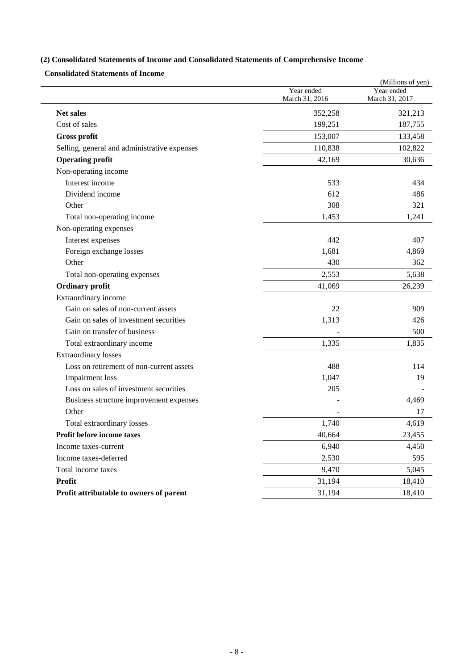## **(2) Consolidated Statements of Income and Consolidated Statements of Comprehensive Income**

**Consolidated Statements of Income** 

|                                              |                              | (Millions of yen)            |
|----------------------------------------------|------------------------------|------------------------------|
|                                              | Year ended<br>March 31, 2016 | Year ended<br>March 31, 2017 |
| <b>Net sales</b>                             | 352,258                      | 321,213                      |
| Cost of sales                                | 199,251                      | 187,755                      |
| Gross profit                                 | 153,007                      | 133,458                      |
| Selling, general and administrative expenses | 110,838                      | 102,822                      |
| <b>Operating profit</b>                      | 42,169                       | 30,636                       |
| Non-operating income                         |                              |                              |
| Interest income                              | 533                          | 434                          |
| Dividend income                              | 612                          | 486                          |
| Other                                        | 308                          | 321                          |
| Total non-operating income                   | 1,453                        | 1,241                        |
| Non-operating expenses                       |                              |                              |
| Interest expenses                            | 442                          | 407                          |
| Foreign exchange losses                      | 1,681                        | 4,869                        |
| Other                                        | 430                          | 362                          |
| Total non-operating expenses                 | 2,553                        | 5,638                        |
| <b>Ordinary profit</b>                       | 41,069                       | 26,239                       |
| Extraordinary income                         |                              |                              |
| Gain on sales of non-current assets          | 22                           | 909                          |
| Gain on sales of investment securities       | 1,313                        | 426                          |
| Gain on transfer of business                 |                              | 500                          |
| Total extraordinary income                   | 1,335                        | 1,835                        |
| <b>Extraordinary losses</b>                  |                              |                              |
| Loss on retirement of non-current assets     | 488                          | 114                          |
| Impairment loss                              | 1,047                        | 19                           |
| Loss on sales of investment securities       | 205                          |                              |
| Business structure improvement expenses      |                              | 4,469                        |
| Other                                        |                              | 17                           |
| Total extraordinary losses                   | 1,740                        | 4,619                        |
| Profit before income taxes                   | 40,664                       | 23,455                       |
| Income taxes-current                         | 6,940                        | 4,450                        |
| Income taxes-deferred                        | 2,530                        | 595                          |
| Total income taxes                           | 9,470                        | 5,045                        |
| <b>Profit</b>                                | 31,194                       | 18,410                       |
| Profit attributable to owners of parent      | 31,194                       | 18,410                       |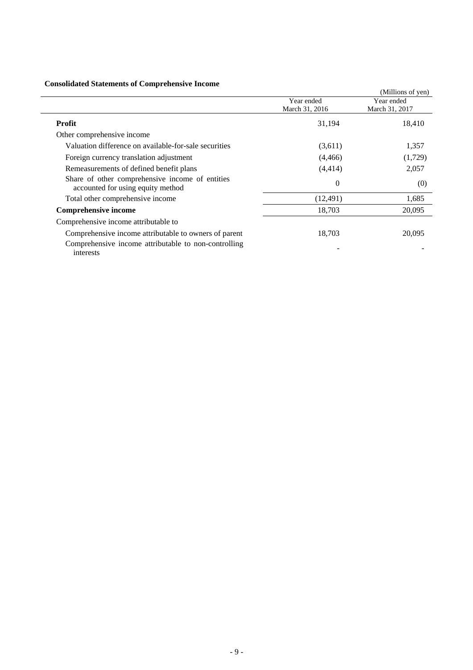### **Consolidated Statements of Comprehensive Income**

|                                                                                                                            |                              | (Millions of yen)            |
|----------------------------------------------------------------------------------------------------------------------------|------------------------------|------------------------------|
|                                                                                                                            | Year ended<br>March 31, 2016 | Year ended<br>March 31, 2017 |
| <b>Profit</b>                                                                                                              | 31,194                       | 18,410                       |
| Other comprehensive income                                                                                                 |                              |                              |
| Valuation difference on available-for-sale securities                                                                      | (3,611)                      | 1,357                        |
| Foreign currency translation adjustment                                                                                    | (4,466)                      | (1,729)                      |
| Remeasurements of defined benefit plans                                                                                    | (4, 414)                     | 2,057                        |
| Share of other comprehensive income of entities<br>accounted for using equity method                                       | $\theta$                     | (0)                          |
| Total other comprehensive income                                                                                           | (12, 491)                    | 1,685                        |
| <b>Comprehensive income</b>                                                                                                | 18,703                       | 20,095                       |
| Comprehensive income attributable to                                                                                       |                              |                              |
| Comprehensive income attributable to owners of parent<br>Comprehensive income attributable to non-controlling<br>interests | 18,703                       | 20,095                       |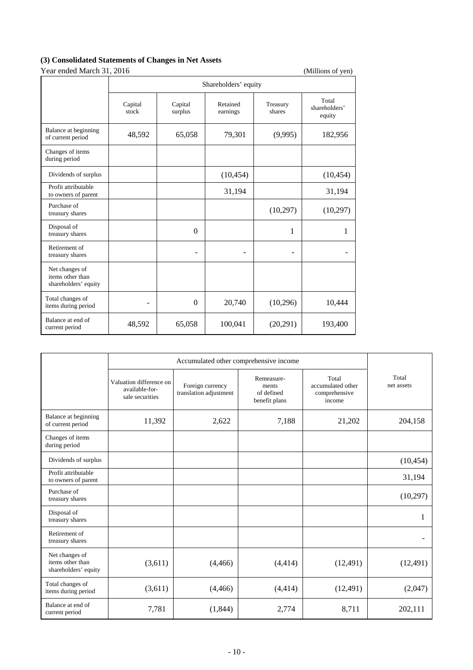### **(3) Consolidated Statements of Changes in Net Assets**

| Year ended March 31, 2016 |  |
|---------------------------|--|
|                           |  |

| Year ended March 31, 2016                                  |                      |                    |                      |                    | (Millions of yen)                |  |  |
|------------------------------------------------------------|----------------------|--------------------|----------------------|--------------------|----------------------------------|--|--|
|                                                            | Shareholders' equity |                    |                      |                    |                                  |  |  |
|                                                            | Capital<br>stock     | Capital<br>surplus | Retained<br>earnings | Treasury<br>shares | Total<br>shareholders'<br>equity |  |  |
| Balance at beginning<br>of current period                  | 48,592               | 65,058             | 79,301               | (9,995)            | 182,956                          |  |  |
| Changes of items<br>during period                          |                      |                    |                      |                    |                                  |  |  |
| Dividends of surplus                                       |                      |                    | (10, 454)            |                    | (10, 454)                        |  |  |
| Profit attributable<br>to owners of parent                 |                      |                    | 31,194               |                    | 31,194                           |  |  |
| Purchase of<br>treasury shares                             |                      |                    |                      | (10,297)           | (10,297)                         |  |  |
| Disposal of<br>treasury shares                             |                      | $\Omega$           |                      | 1                  | 1                                |  |  |
| Retirement of<br>treasury shares                           |                      |                    | ۰                    |                    |                                  |  |  |
| Net changes of<br>items other than<br>shareholders' equity |                      |                    |                      |                    |                                  |  |  |
| Total changes of<br>items during period                    |                      | $\boldsymbol{0}$   | 20,740               | (10,296)           | 10,444                           |  |  |
| Balance at end of<br>current period                        | 48,592               | 65,058             | 100,041              | (20,291)           | 193,400                          |  |  |

|                                                            | Total<br>Remeasure-<br>Valuation difference on<br>Foreign currency<br>accumulated other<br>ments<br>available-for-<br>translation adjustment<br>of defined<br>comprehensive<br>sale securities<br>benefit plans<br>income |          |          | Total<br>net assets |           |
|------------------------------------------------------------|---------------------------------------------------------------------------------------------------------------------------------------------------------------------------------------------------------------------------|----------|----------|---------------------|-----------|
| Balance at beginning<br>of current period                  | 11,392                                                                                                                                                                                                                    | 2,622    | 7,188    | 21,202              | 204,158   |
| Changes of items<br>during period                          |                                                                                                                                                                                                                           |          |          |                     |           |
| Dividends of surplus                                       |                                                                                                                                                                                                                           |          |          |                     | (10, 454) |
| Profit attributable<br>to owners of parent                 |                                                                                                                                                                                                                           |          |          |                     | 31,194    |
| Purchase of<br>treasury shares                             |                                                                                                                                                                                                                           |          |          |                     | (10,297)  |
| Disposal of<br>treasury shares                             |                                                                                                                                                                                                                           |          |          |                     | 1         |
| Retirement of<br>treasury shares                           |                                                                                                                                                                                                                           |          |          |                     |           |
| Net changes of<br>items other than<br>shareholders' equity | (3,611)                                                                                                                                                                                                                   | (4, 466) | (4, 414) | (12, 491)           | (12, 491) |
| Total changes of<br>items during period                    | (3,611)                                                                                                                                                                                                                   | (4, 466) | (4, 414) | (12, 491)           | (2,047)   |
| Balance at end of<br>current period                        | 7,781                                                                                                                                                                                                                     | (1, 844) | 2,774    | 8,711               | 202,111   |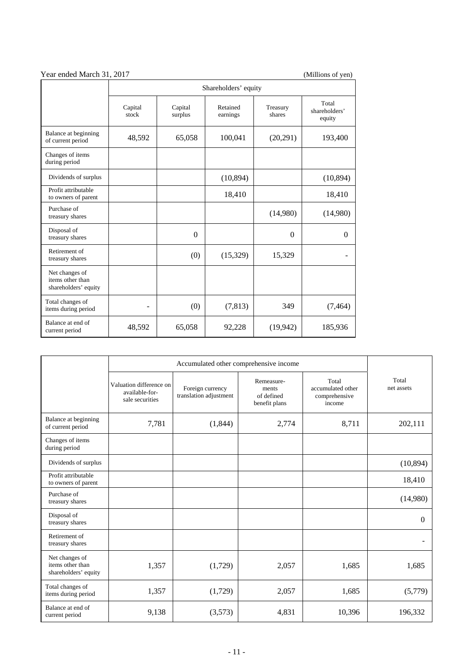| 1 car chaca nigren 91, 2017                                |                      |                    |                      |                    |                                  |  |  |  |
|------------------------------------------------------------|----------------------|--------------------|----------------------|--------------------|----------------------------------|--|--|--|
|                                                            | Shareholders' equity |                    |                      |                    |                                  |  |  |  |
|                                                            | Capital<br>stock     | Capital<br>surplus | Retained<br>earnings | Treasury<br>shares | Total<br>shareholders'<br>equity |  |  |  |
| Balance at beginning<br>of current period                  | 48,592               | 65,058             | 100,041              | (20,291)           | 193,400                          |  |  |  |
| Changes of items<br>during period                          |                      |                    |                      |                    |                                  |  |  |  |
| Dividends of surplus                                       |                      |                    | (10, 894)            |                    | (10, 894)                        |  |  |  |
| Profit attributable<br>to owners of parent                 |                      |                    | 18,410               |                    | 18,410                           |  |  |  |
| Purchase of<br>treasury shares                             |                      |                    |                      | (14,980)           | (14,980)                         |  |  |  |
| Disposal of<br>treasury shares                             |                      | $\Omega$           |                      | $\theta$           | $\Omega$                         |  |  |  |
| Retirement of<br>treasury shares                           |                      | (0)                | (15,329)             | 15,329             |                                  |  |  |  |
| Net changes of<br>items other than<br>shareholders' equity |                      |                    |                      |                    |                                  |  |  |  |
| Total changes of<br>items during period                    | -                    | (0)                | (7, 813)             | 349                | (7, 464)                         |  |  |  |
| Balance at end of<br>current period                        | 48,592               | 65,058             | 92,228               | (19, 942)          | 185,936                          |  |  |  |

|                                                            | Valuation difference on<br>available-for-<br>sale securities | Foreign currency<br>translation adjustment | Remeasure-<br>ments<br>of defined<br>benefit plans | Total<br>accumulated other<br>comprehensive<br>income | Total<br>net assets |
|------------------------------------------------------------|--------------------------------------------------------------|--------------------------------------------|----------------------------------------------------|-------------------------------------------------------|---------------------|
| Balance at beginning<br>of current period                  | 7,781                                                        | (1,844)                                    | 2,774                                              | 8,711                                                 | 202,111             |
| Changes of items<br>during period                          |                                                              |                                            |                                                    |                                                       |                     |
| Dividends of surplus                                       |                                                              |                                            |                                                    |                                                       | (10, 894)           |
| Profit attributable<br>to owners of parent                 |                                                              |                                            |                                                    |                                                       | 18,410              |
| Purchase of<br>treasury shares                             |                                                              |                                            |                                                    |                                                       | (14,980)            |
| Disposal of<br>treasury shares                             |                                                              |                                            |                                                    |                                                       | $\Omega$            |
| Retirement of<br>treasury shares                           |                                                              |                                            |                                                    |                                                       |                     |
| Net changes of<br>items other than<br>shareholders' equity | 1,357                                                        | (1,729)                                    | 2,057                                              | 1,685                                                 | 1,685               |
| Total changes of<br>items during period                    | 1,357                                                        | (1,729)                                    | 2,057                                              | 1,685                                                 | (5,779)             |
| Balance at end of<br>current period                        | 9,138                                                        | (3,573)                                    | 4,831                                              | 10,396                                                | 196,332             |

### Year ended March 31, 2017 (Millions of yen)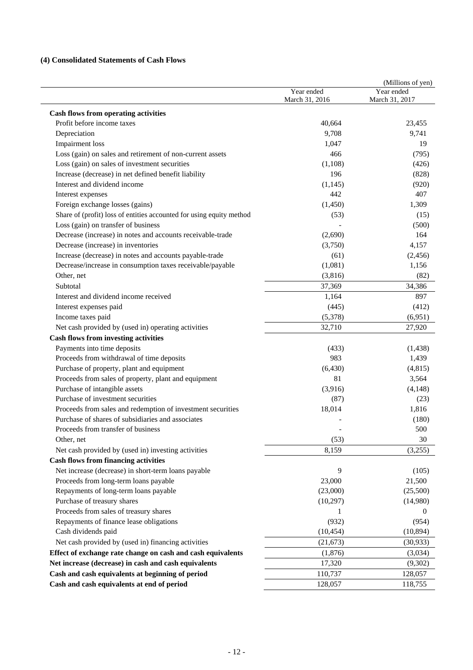### **(4) Consolidated Statements of Cash Flows**

|                                                                      | Year ended<br>March 31, 2016 | (Millions of yen)<br>Year ended<br>March 31, 2017 |
|----------------------------------------------------------------------|------------------------------|---------------------------------------------------|
| <b>Cash flows from operating activities</b>                          |                              |                                                   |
| Profit before income taxes                                           | 40,664                       | 23,455                                            |
| Depreciation                                                         | 9,708                        | 9,741                                             |
| <b>Impairment</b> loss                                               | 1,047                        | 19                                                |
| Loss (gain) on sales and retirement of non-current assets            | 466                          | (795)                                             |
| Loss (gain) on sales of investment securities                        | (1,108)                      | (426)                                             |
| Increase (decrease) in net defined benefit liability                 | 196                          | (828)                                             |
| Interest and dividend income                                         | (1,145)                      | (920)                                             |
| Interest expenses                                                    | 442                          | 407                                               |
| Foreign exchange losses (gains)                                      | (1,450)                      | 1,309                                             |
| Share of (profit) loss of entities accounted for using equity method | (53)                         | (15)                                              |
| Loss (gain) on transfer of business                                  |                              | (500)                                             |
| Decrease (increase) in notes and accounts receivable-trade           | (2,690)                      | 164                                               |
| Decrease (increase) in inventories                                   | (3,750)                      | 4,157                                             |
| Increase (decrease) in notes and accounts payable-trade              | (61)                         | (2, 456)                                          |
| Decrease/increase in consumption taxes receivable/payable            | (1,081)                      | 1,156                                             |
| Other, net                                                           | (3,816)                      | (82)                                              |
| Subtotal                                                             | 37,369                       | 34,386                                            |
| Interest and dividend income received                                | 1,164                        | 897                                               |
| Interest expenses paid                                               | (445)                        | (412)                                             |
| Income taxes paid                                                    | (5,378)                      | (6,951)                                           |
| Net cash provided by (used in) operating activities                  | 32,710                       | 27,920                                            |
| <b>Cash flows from investing activities</b>                          |                              |                                                   |
| Payments into time deposits                                          | (433)                        | (1, 438)                                          |
| Proceeds from withdrawal of time deposits                            | 983                          | 1,439                                             |
| Purchase of property, plant and equipment                            | (6, 430)                     | (4, 815)                                          |
| Proceeds from sales of property, plant and equipment                 | 81                           | 3,564                                             |
| Purchase of intangible assets                                        | (3,916)                      | (4,148)                                           |
| Purchase of investment securities                                    | (87)                         | (23)                                              |
| Proceeds from sales and redemption of investment securities          | 18,014                       | 1,816                                             |
| Purchase of shares of subsidiaries and associates                    |                              | (180)                                             |
| Proceeds from transfer of business                                   |                              | 500                                               |
| Other, net                                                           | (53)                         | 30                                                |
| Net cash provided by (used in) investing activities                  | 8,159                        | (3,255)                                           |
| <b>Cash flows from financing activities</b>                          |                              |                                                   |
| Net increase (decrease) in short-term loans payable                  | 9                            | (105)                                             |
| Proceeds from long-term loans payable                                | 23,000                       | 21,500                                            |
| Repayments of long-term loans payable                                | (23,000)                     | (25,500)                                          |
| Purchase of treasury shares                                          | (10,297)                     | (14,980)                                          |
| Proceeds from sales of treasury shares                               | 1                            | $\overline{0}$                                    |
| Repayments of finance lease obligations                              | (932)                        | (954)                                             |
| Cash dividends paid                                                  | (10, 454)                    | (10, 894)                                         |
| Net cash provided by (used in) financing activities                  | (21, 673)                    | (30, 933)                                         |
| Effect of exchange rate change on cash and cash equivalents          | (1,876)                      | (3,034)                                           |
| Net increase (decrease) in cash and cash equivalents                 | 17,320                       | (9,302)                                           |
| Cash and cash equivalents at beginning of period                     | 110,737                      | 128,057                                           |
| Cash and cash equivalents at end of period                           | 128,057                      | 118,755                                           |
|                                                                      |                              |                                                   |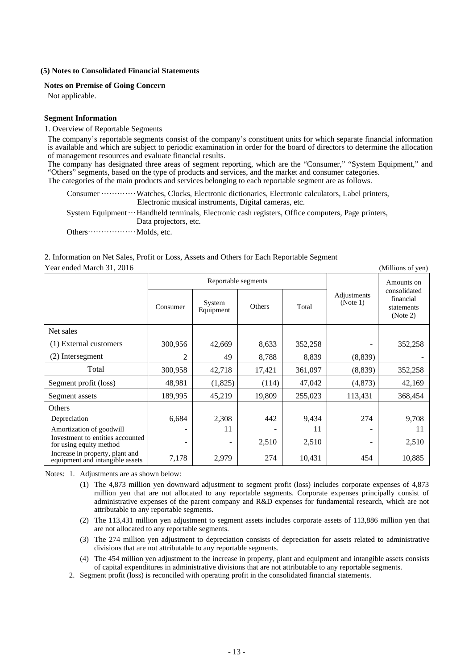#### **(5) Notes to Consolidated Financial Statements**

#### **Notes on Premise of Going Concern**

Not applicable.

#### **Segment Information**

#### 1. Overview of Reportable Segments

The company's reportable segments consist of the company's constituent units for which separate financial information is available and which are subject to periodic examination in order for the board of directors to determine the allocation of management resources and evaluate financial results.

The company has designated three areas of segment reporting, which are the "Consumer," "System Equipment," and "Others" segments, based on the type of products and services, and the market and consumer categories. The categories of the main products and services belonging to each reportable segment are as follows.

Consumer ··············· Watches, Clocks, Electronic dictionaries, Electronic calculators, Label printers, Electronic musical instruments, Digital cameras, etc.

System Equipment ··· Handheld terminals, Electronic cash registers, Office computers, Page printers, Data projectors, etc.

Others ······················· Molds, etc.

#### 2. Information on Net Sales, Profit or Loss, Assets and Others for Each Reportable Segment Year ended March 31, 2016 (Millions of yen)

|                                                                    |                | Reportable segments |        |         |                         | Amounts on                                          |  |
|--------------------------------------------------------------------|----------------|---------------------|--------|---------|-------------------------|-----------------------------------------------------|--|
|                                                                    | Consumer       | System<br>Equipment | Others | Total   | Adjustments<br>(Note 1) | consolidated<br>financial<br>statements<br>(Note 2) |  |
| Net sales                                                          |                |                     |        |         |                         |                                                     |  |
| (1) External customers                                             | 300,956        | 42,669              | 8,633  | 352,258 |                         | 352,258                                             |  |
| (2) Intersegment                                                   | 2              | 49                  | 8,788  | 8,839   | (8, 839)                |                                                     |  |
| Total                                                              | 300,958        | 42,718              | 17,421 | 361,097 | (8,839)                 | 352,258                                             |  |
| Segment profit (loss)                                              | 48,981         | (1,825)             | (114)  | 47,042  | (4,873)                 | 42,169                                              |  |
| Segment assets                                                     | 189,995        | 45,219              | 19,809 | 255,023 | 113,431                 | 368,454                                             |  |
| Others                                                             |                |                     |        |         |                         |                                                     |  |
| Depreciation                                                       | 6,684          | 2,308               | 442    | 9,434   | 274                     | 9,708                                               |  |
| Amortization of goodwill                                           |                | 11                  |        | 11      |                         | 11                                                  |  |
| Investment to entities accounted<br>for using equity method        | $\overline{a}$ | -                   | 2,510  | 2,510   | -                       | 2,510                                               |  |
| Increase in property, plant and<br>equipment and intangible assets | 7,178          | 2,979               | 274    | 10,431  | 454                     | 10,885                                              |  |

Notes: 1. Adjustments are as shown below:

- (1) The 4,873 million yen downward adjustment to segment profit (loss) includes corporate expenses of 4,873 million yen that are not allocated to any reportable segments. Corporate expenses principally consist of administrative expenses of the parent company and R&D expenses for fundamental research, which are not attributable to any reportable segments.
- (2) The 113,431 million yen adjustment to segment assets includes corporate assets of 113,886 million yen that are not allocated to any reportable segments.
- (3) The 274 million yen adjustment to depreciation consists of depreciation for assets related to administrative divisions that are not attributable to any reportable segments.
- (4) The 454 million yen adjustment to the increase in property, plant and equipment and intangible assets consists of capital expenditures in administrative divisions that are not attributable to any reportable segments.
- 2. Segment profit (loss) is reconciled with operating profit in the consolidated financial statements.